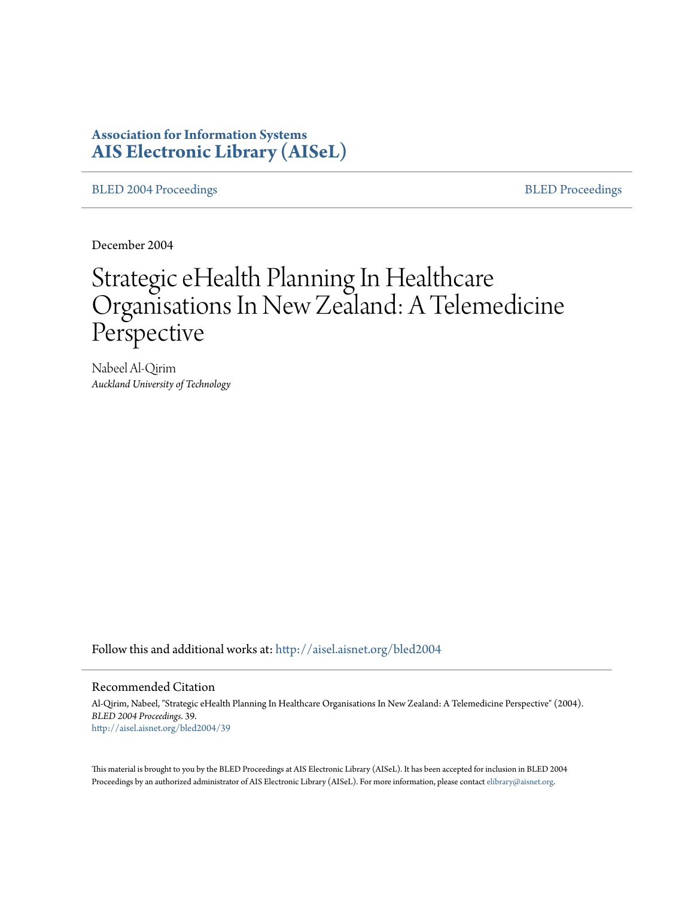# **Association for Information Systems [AIS Electronic Library \(AISeL\)](http://aisel.aisnet.org?utm_source=aisel.aisnet.org%2Fbled2004%2F39&utm_medium=PDF&utm_campaign=PDFCoverPages)**

[BLED 2004 Proceedings](http://aisel.aisnet.org/bled2004?utm_source=aisel.aisnet.org%2Fbled2004%2F39&utm_medium=PDF&utm_campaign=PDFCoverPages) **[BLED Proceedings](http://aisel.aisnet.org/bled?utm_source=aisel.aisnet.org%2Fbled2004%2F39&utm_medium=PDF&utm_campaign=PDFCoverPages)** 

December 2004

# Strategic eHealth Planning In Healthcare Organisations In New Zealand: A Telemedicine Perspective

Nabeel Al-Qirim *Auckland University of Technology*

Follow this and additional works at: [http://aisel.aisnet.org/bled2004](http://aisel.aisnet.org/bled2004?utm_source=aisel.aisnet.org%2Fbled2004%2F39&utm_medium=PDF&utm_campaign=PDFCoverPages)

#### Recommended Citation

Al-Qirim, Nabeel, "Strategic eHealth Planning In Healthcare Organisations In New Zealand: A Telemedicine Perspective" (2004). *BLED 2004 Proceedings*. 39. [http://aisel.aisnet.org/bled2004/39](http://aisel.aisnet.org/bled2004/39?utm_source=aisel.aisnet.org%2Fbled2004%2F39&utm_medium=PDF&utm_campaign=PDFCoverPages)

This material is brought to you by the BLED Proceedings at AIS Electronic Library (AISeL). It has been accepted for inclusion in BLED 2004 Proceedings by an authorized administrator of AIS Electronic Library (AISeL). For more information, please contact [elibrary@aisnet.org](mailto:elibrary@aisnet.org%3E).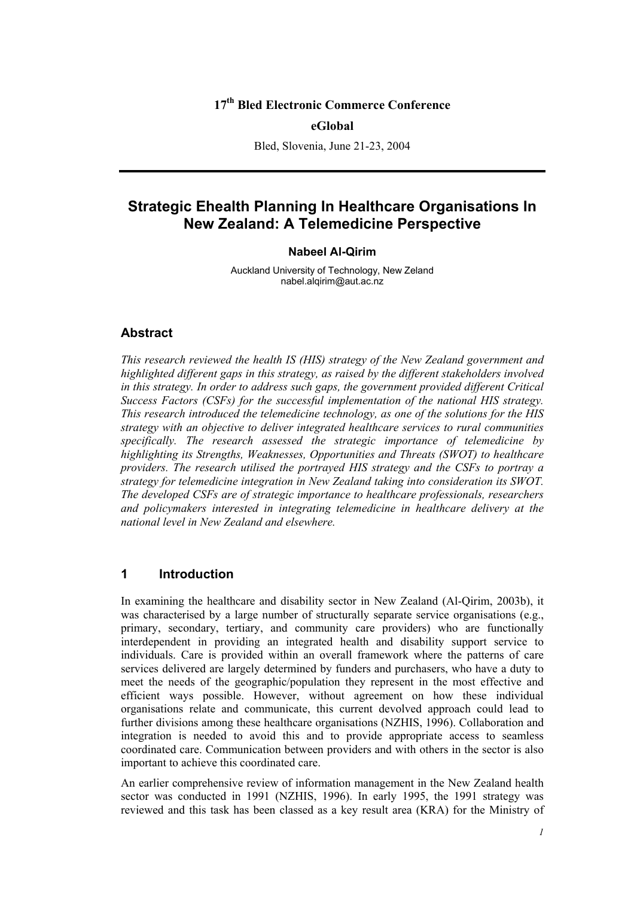## **17th Bled Electronic Commerce Conference**

#### **eGlobal**

Bled, Slovenia, June 21-23, 2004

# **Strategic Ehealth Planning In Healthcare Organisations In New Zealand: A Telemedicine Perspective**

#### **Nabeel Al-Qirim**

Auckland University of Technology, New Zeland nabel.alqirim@aut.ac.nz

#### **Abstract**

*This research reviewed the health IS (HIS) strategy of the New Zealand government and highlighted different gaps in this strategy, as raised by the different stakeholders involved in this strategy. In order to address such gaps, the government provided different Critical Success Factors (CSFs) for the successful implementation of the national HIS strategy. This research introduced the telemedicine technology, as one of the solutions for the HIS strategy with an objective to deliver integrated healthcare services to rural communities specifically. The research assessed the strategic importance of telemedicine by highlighting its Strengths, Weaknesses, Opportunities and Threats (SWOT) to healthcare providers. The research utilised the portrayed HIS strategy and the CSFs to portray a strategy for telemedicine integration in New Zealand taking into consideration its SWOT. The developed CSFs are of strategic importance to healthcare professionals, researchers and policymakers interested in integrating telemedicine in healthcare delivery at the national level in New Zealand and elsewhere.* 

#### **1 Introduction**

In examining the healthcare and disability sector in New Zealand (Al-Qirim, 2003b), it was characterised by a large number of structurally separate service organisations (e.g., primary, secondary, tertiary, and community care providers) who are functionally interdependent in providing an integrated health and disability support service to individuals. Care is provided within an overall framework where the patterns of care services delivered are largely determined by funders and purchasers, who have a duty to meet the needs of the geographic/population they represent in the most effective and efficient ways possible. However, without agreement on how these individual organisations relate and communicate, this current devolved approach could lead to further divisions among these healthcare organisations (NZHIS, 1996). Collaboration and integration is needed to avoid this and to provide appropriate access to seamless coordinated care. Communication between providers and with others in the sector is also important to achieve this coordinated care.

An earlier comprehensive review of information management in the New Zealand health sector was conducted in 1991 (NZHIS, 1996). In early 1995, the 1991 strategy was reviewed and this task has been classed as a key result area (KRA) for the Ministry of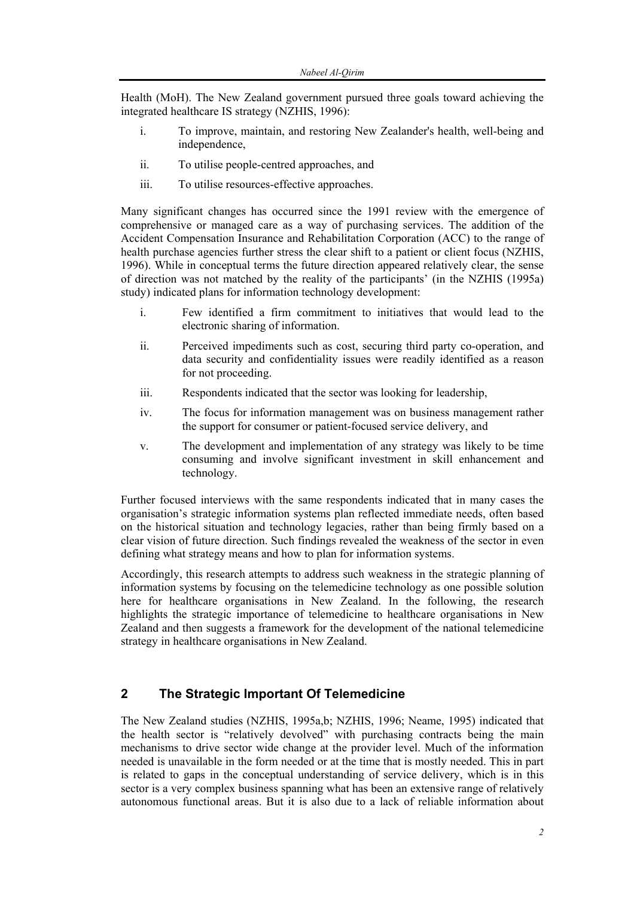Health (MoH). The New Zealand government pursued three goals toward achieving the integrated healthcare IS strategy (NZHIS, 1996):

- i. To improve, maintain, and restoring New Zealander's health, well-being and independence,
- ii. To utilise people-centred approaches, and
- iii. To utilise resources-effective approaches.

Many significant changes has occurred since the 1991 review with the emergence of comprehensive or managed care as a way of purchasing services. The addition of the Accident Compensation Insurance and Rehabilitation Corporation (ACC) to the range of health purchase agencies further stress the clear shift to a patient or client focus (NZHIS, 1996). While in conceptual terms the future direction appeared relatively clear, the sense of direction was not matched by the reality of the participants' (in the NZHIS (1995a) study) indicated plans for information technology development:

- i. Few identified a firm commitment to initiatives that would lead to the electronic sharing of information.
- ii. Perceived impediments such as cost, securing third party co-operation, and data security and confidentiality issues were readily identified as a reason for not proceeding.
- iii. Respondents indicated that the sector was looking for leadership,
- iv. The focus for information management was on business management rather the support for consumer or patient-focused service delivery, and
- v. The development and implementation of any strategy was likely to be time consuming and involve significant investment in skill enhancement and technology.

Further focused interviews with the same respondents indicated that in many cases the organisation's strategic information systems plan reflected immediate needs, often based on the historical situation and technology legacies, rather than being firmly based on a clear vision of future direction. Such findings revealed the weakness of the sector in even defining what strategy means and how to plan for information systems.

Accordingly, this research attempts to address such weakness in the strategic planning of information systems by focusing on the telemedicine technology as one possible solution here for healthcare organisations in New Zealand. In the following, the research highlights the strategic importance of telemedicine to healthcare organisations in New Zealand and then suggests a framework for the development of the national telemedicine strategy in healthcare organisations in New Zealand.

## **2 The Strategic Important Of Telemedicine**

The New Zealand studies (NZHIS, 1995a,b; NZHIS, 1996; Neame, 1995) indicated that the health sector is "relatively devolved" with purchasing contracts being the main mechanisms to drive sector wide change at the provider level. Much of the information needed is unavailable in the form needed or at the time that is mostly needed. This in part is related to gaps in the conceptual understanding of service delivery, which is in this sector is a very complex business spanning what has been an extensive range of relatively autonomous functional areas. But it is also due to a lack of reliable information about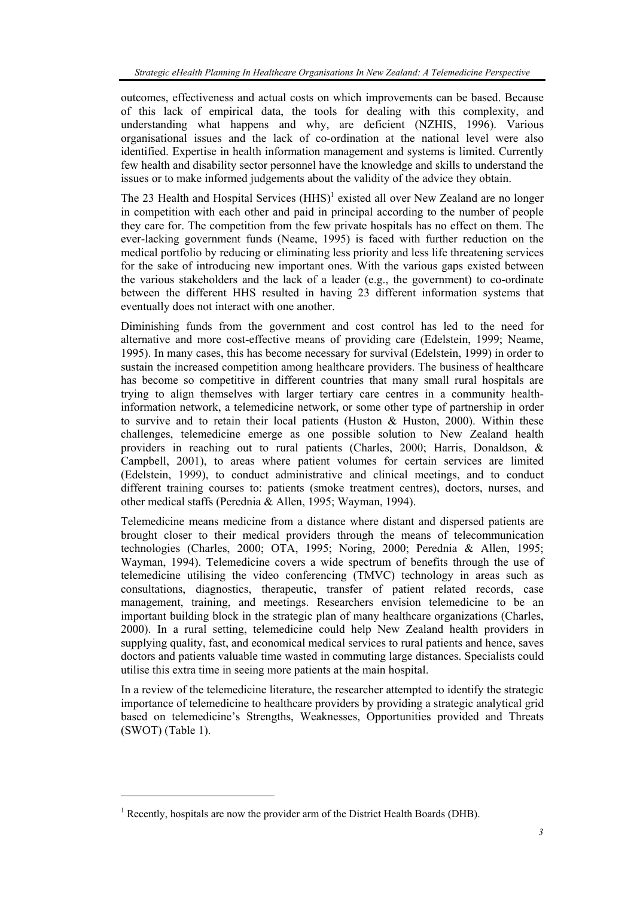outcomes, effectiveness and actual costs on which improvements can be based. Because of this lack of empirical data, the tools for dealing with this complexity, and understanding what happens and why, are deficient (NZHIS, 1996). Various organisational issues and the lack of co-ordination at the national level were also identified. Expertise in health information management and systems is limited. Currently few health and disability sector personnel have the knowledge and skills to understand the issues or to make informed judgements about the validity of the advice they obtain.

The 23 Health and Hospital Services  $(HHS)^1$  existed all over New Zealand are no longer in competition with each other and paid in principal according to the number of people they care for. The competition from the few private hospitals has no effect on them. The ever-lacking government funds (Neame, 1995) is faced with further reduction on the medical portfolio by reducing or eliminating less priority and less life threatening services for the sake of introducing new important ones. With the various gaps existed between the various stakeholders and the lack of a leader (e.g., the government) to co-ordinate between the different HHS resulted in having 23 different information systems that eventually does not interact with one another.

Diminishing funds from the government and cost control has led to the need for alternative and more cost-effective means of providing care (Edelstein, 1999; Neame, 1995). In many cases, this has become necessary for survival (Edelstein, 1999) in order to sustain the increased competition among healthcare providers. The business of healthcare has become so competitive in different countries that many small rural hospitals are trying to align themselves with larger tertiary care centres in a community healthinformation network, a telemedicine network, or some other type of partnership in order to survive and to retain their local patients (Huston & Huston, 2000). Within these challenges, telemedicine emerge as one possible solution to New Zealand health providers in reaching out to rural patients (Charles, 2000; Harris, Donaldson, & Campbell, 2001), to areas where patient volumes for certain services are limited (Edelstein, 1999), to conduct administrative and clinical meetings, and to conduct different training courses to: patients (smoke treatment centres), doctors, nurses, and other medical staffs (Perednia & Allen, 1995; Wayman, 1994).

Telemedicine means medicine from a distance where distant and dispersed patients are brought closer to their medical providers through the means of telecommunication technologies (Charles, 2000; OTA, 1995; Noring, 2000; Perednia & Allen, 1995; Wayman, 1994). Telemedicine covers a wide spectrum of benefits through the use of telemedicine utilising the video conferencing (TMVC) technology in areas such as consultations, diagnostics, therapeutic, transfer of patient related records, case management, training, and meetings. Researchers envision telemedicine to be an important building block in the strategic plan of many healthcare organizations (Charles, 2000). In a rural setting, telemedicine could help New Zealand health providers in supplying quality, fast, and economical medical services to rural patients and hence, saves doctors and patients valuable time wasted in commuting large distances. Specialists could utilise this extra time in seeing more patients at the main hospital.

In a review of the telemedicine literature, the researcher attempted to identify the strategic importance of telemedicine to healthcare providers by providing a strategic analytical grid based on telemedicine's Strengths, Weaknesses, Opportunities provided and Threats (SWOT) (Table 1).

l

 $<sup>1</sup>$  Recently, hospitals are now the provider arm of the District Health Boards (DHB).</sup>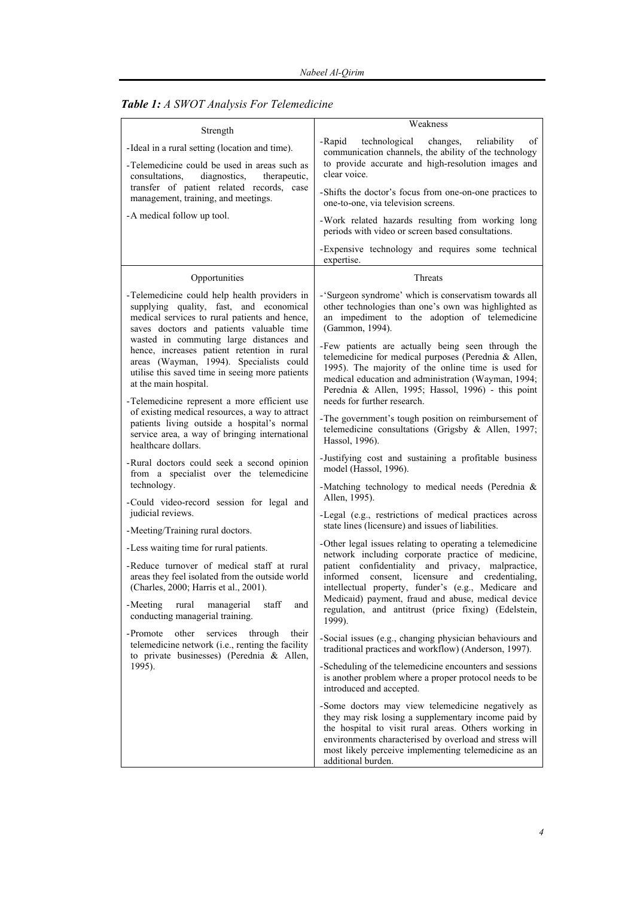|                                                                                                                                                                                                                                                                        | Weakness                                                                                                                                                                                                                                                                                                                                                                                              |
|------------------------------------------------------------------------------------------------------------------------------------------------------------------------------------------------------------------------------------------------------------------------|-------------------------------------------------------------------------------------------------------------------------------------------------------------------------------------------------------------------------------------------------------------------------------------------------------------------------------------------------------------------------------------------------------|
| Strength<br>-Ideal in a rural setting (location and time).<br>-Telemedicine could be used in areas such as<br>consultations.<br>diagnostics,<br>therapeutic,<br>transfer of patient related records, case<br>management, training, and meetings.                       | -Rapid<br>technological<br>changes,<br>reliability<br>of<br>communication channels, the ability of the technology<br>to provide accurate and high-resolution images and<br>clear voice.                                                                                                                                                                                                               |
|                                                                                                                                                                                                                                                                        | -Shifts the doctor's focus from one-on-one practices to<br>one-to-one, via television screens.                                                                                                                                                                                                                                                                                                        |
| -A medical follow up tool.                                                                                                                                                                                                                                             | -Work related hazards resulting from working long<br>periods with video or screen based consultations.                                                                                                                                                                                                                                                                                                |
|                                                                                                                                                                                                                                                                        | -Expensive technology and requires some technical<br>expertise.                                                                                                                                                                                                                                                                                                                                       |
| Opportunities                                                                                                                                                                                                                                                          | Threats                                                                                                                                                                                                                                                                                                                                                                                               |
| -Telemedicine could help health providers in<br>supplying quality, fast, and economical<br>medical services to rural patients and hence,<br>saves doctors and patients valuable time<br>wasted in commuting large distances and                                        | -'Surgeon syndrome' which is conservatism towards all<br>other technologies than one's own was highlighted as<br>an impediment to the adoption of telemedicine<br>(Gammon, 1994).                                                                                                                                                                                                                     |
| hence, increases patient retention in rural<br>areas (Wayman, 1994). Specialists could<br>utilise this saved time in seeing more patients<br>at the main hospital.                                                                                                     | -Few patients are actually being seen through the<br>telemedicine for medical purposes (Perednia & Allen,<br>1995). The majority of the online time is used for<br>medical education and administration (Wayman, 1994;<br>Perednia & Allen, 1995; Hassol, 1996) - this point                                                                                                                          |
| -Telemedicine represent a more efficient use<br>of existing medical resources, a way to attract<br>patients living outside a hospital's normal<br>service area, a way of bringing international<br>healthcare dollars.                                                 | needs for further research.<br>-The government's tough position on reimbursement of<br>telemedicine consultations (Grigsby & Allen, 1997;<br>Hassol, 1996).                                                                                                                                                                                                                                           |
| -Rural doctors could seek a second opinion<br>from a specialist over the telemedicine                                                                                                                                                                                  | -Justifying cost and sustaining a profitable business<br>model (Hassol, 1996).                                                                                                                                                                                                                                                                                                                        |
| technology.<br>-Could video-record session for legal and                                                                                                                                                                                                               | -Matching technology to medical needs (Perednia &<br>Allen, 1995).                                                                                                                                                                                                                                                                                                                                    |
| judicial reviews.<br>-Meeting/Training rural doctors.                                                                                                                                                                                                                  | -Legal (e.g., restrictions of medical practices across<br>state lines (licensure) and issues of liabilities.                                                                                                                                                                                                                                                                                          |
| -Less waiting time for rural patients.<br>-Reduce turnover of medical staff at rural<br>areas they feel isolated from the outside world<br>(Charles, 2000; Harris et al., 2001).<br>-Meeting<br>rural<br>managerial<br>staff<br>and<br>conducting managerial training. | -Other legal issues relating to operating a telemedicine<br>network including corporate practice of medicine,<br>patient confidentiality and privacy, malpractice,<br>licensure<br>informed<br>consent,<br>credentialing,<br>and<br>intellectual property, funder's (e.g., Medicare and<br>Medicaid) payment, fraud and abuse, medical device<br>regulation, and antitrust (price fixing) (Edelstein, |
| their<br>other<br>services<br>through<br>-Promote<br>telemedicine network (i.e., renting the facility<br>to private businesses) (Perednia & Allen,                                                                                                                     | 1999).<br>-Social issues (e.g., changing physician behaviours and<br>traditional practices and workflow) (Anderson, 1997).                                                                                                                                                                                                                                                                            |
| 1995).                                                                                                                                                                                                                                                                 | -Scheduling of the telemedicine encounters and sessions<br>is another problem where a proper protocol needs to be<br>introduced and accepted.                                                                                                                                                                                                                                                         |
|                                                                                                                                                                                                                                                                        | -Some doctors may view telemedicine negatively as<br>they may risk losing a supplementary income paid by<br>the hospital to visit rural areas. Others working in<br>environments characterised by overload and stress will<br>most likely perceive implementing telemedicine as an<br>additional burden.                                                                                              |

# *Table 1: A SWOT Analysis For Telemedicine*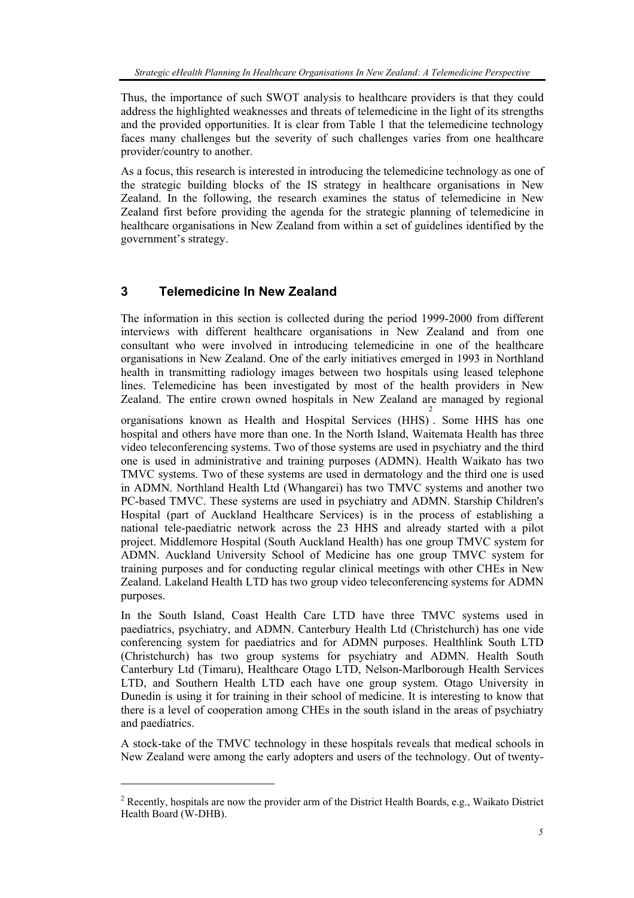Thus, the importance of such SWOT analysis to healthcare providers is that they could address the highlighted weaknesses and threats of telemedicine in the light of its strengths and the provided opportunities. It is clear from Table 1 that the telemedicine technology faces many challenges but the severity of such challenges varies from one healthcare provider/country to another.

As a focus, this research is interested in introducing the telemedicine technology as one of the strategic building blocks of the IS strategy in healthcare organisations in New Zealand. In the following, the research examines the status of telemedicine in New Zealand first before providing the agenda for the strategic planning of telemedicine in healthcare organisations in New Zealand from within a set of guidelines identified by the government's strategy.

# **3 Telemedicine In New Zealand**

l

The information in this section is collected during the period 1999-2000 from different interviews with different healthcare organisations in New Zealand and from one consultant who were involved in introducing telemedicine in one of the healthcare organisations in New Zealand. One of the early initiatives emerged in 1993 in Northland health in transmitting radiology images between two hospitals using leased telephone lines. Telemedicine has been investigated by most of the health providers in New Zealand. The entire crown owned hospitals in New Zealand are managed by regional

organisations known as Health and Hospital Services (HHS) . Some HHS has one 2 hospital and others have more than one. In the North Island, Waitemata Health has three video teleconferencing systems. Two of those systems are used in psychiatry and the third one is used in administrative and training purposes (ADMN). Health Waikato has two TMVC systems. Two of these systems are used in dermatology and the third one is used in ADMN. Northland Health Ltd (Whangarei) has two TMVC systems and another two PC-based TMVC. These systems are used in psychiatry and ADMN. Starship Children's Hospital (part of Auckland Healthcare Services) is in the process of establishing a national tele-paediatric network across the 23 HHS and already started with a pilot project. Middlemore Hospital (South Auckland Health) has one group TMVC system for ADMN. Auckland University School of Medicine has one group TMVC system for training purposes and for conducting regular clinical meetings with other CHEs in New Zealand. Lakeland Health LTD has two group video teleconferencing systems for ADMN purposes.

In the South Island, Coast Health Care LTD have three TMVC systems used in paediatrics, psychiatry, and ADMN. Canterbury Health Ltd (Christchurch) has one vide conferencing system for paediatrics and for ADMN purposes. Healthlink South LTD (Christchurch) has two group systems for psychiatry and ADMN. Health South Canterbury Ltd (Timaru), Healthcare Otago LTD, Nelson-Marlborough Health Services LTD, and Southern Health LTD each have one group system. Otago University in Dunedin is using it for training in their school of medicine. It is interesting to know that there is a level of cooperation among CHEs in the south island in the areas of psychiatry and paediatrics.

A stock-take of the TMVC technology in these hospitals reveals that medical schools in New Zealand were among the early adopters and users of the technology. Out of twenty-

<sup>&</sup>lt;sup>2</sup> Recently, hospitals are now the provider arm of the District Health Boards, e.g., Waikato District Health Board (W-DHB).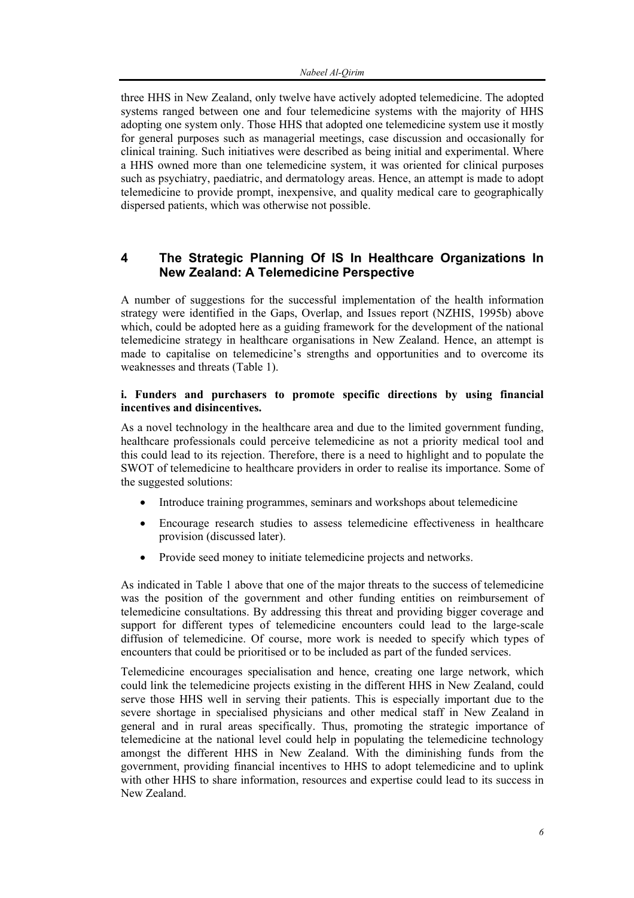three HHS in New Zealand, only twelve have actively adopted telemedicine. The adopted systems ranged between one and four telemedicine systems with the majority of HHS adopting one system only. Those HHS that adopted one telemedicine system use it mostly for general purposes such as managerial meetings, case discussion and occasionally for clinical training. Such initiatives were described as being initial and experimental. Where a HHS owned more than one telemedicine system, it was oriented for clinical purposes such as psychiatry, paediatric, and dermatology areas. Hence, an attempt is made to adopt telemedicine to provide prompt, inexpensive, and quality medical care to geographically dispersed patients, which was otherwise not possible.

## **4 The Strategic Planning Of IS In Healthcare Organizations In New Zealand: A Telemedicine Perspective**

A number of suggestions for the successful implementation of the health information strategy were identified in the Gaps, Overlap, and Issues report (NZHIS, 1995b) above which, could be adopted here as a guiding framework for the development of the national telemedicine strategy in healthcare organisations in New Zealand. Hence, an attempt is made to capitalise on telemedicine's strengths and opportunities and to overcome its weaknesses and threats (Table 1).

#### **i. Funders and purchasers to promote specific directions by using financial incentives and disincentives.**

As a novel technology in the healthcare area and due to the limited government funding, healthcare professionals could perceive telemedicine as not a priority medical tool and this could lead to its rejection. Therefore, there is a need to highlight and to populate the SWOT of telemedicine to healthcare providers in order to realise its importance. Some of the suggested solutions:

- Introduce training programmes, seminars and workshops about telemedicine
- Encourage research studies to assess telemedicine effectiveness in healthcare provision (discussed later).
- Provide seed money to initiate telemedicine projects and networks.

As indicated in Table 1 above that one of the major threats to the success of telemedicine was the position of the government and other funding entities on reimbursement of telemedicine consultations. By addressing this threat and providing bigger coverage and support for different types of telemedicine encounters could lead to the large-scale diffusion of telemedicine. Of course, more work is needed to specify which types of encounters that could be prioritised or to be included as part of the funded services.

Telemedicine encourages specialisation and hence, creating one large network, which could link the telemedicine projects existing in the different HHS in New Zealand, could serve those HHS well in serving their patients. This is especially important due to the severe shortage in specialised physicians and other medical staff in New Zealand in general and in rural areas specifically. Thus, promoting the strategic importance of telemedicine at the national level could help in populating the telemedicine technology amongst the different HHS in New Zealand. With the diminishing funds from the government, providing financial incentives to HHS to adopt telemedicine and to uplink with other HHS to share information, resources and expertise could lead to its success in New Zealand.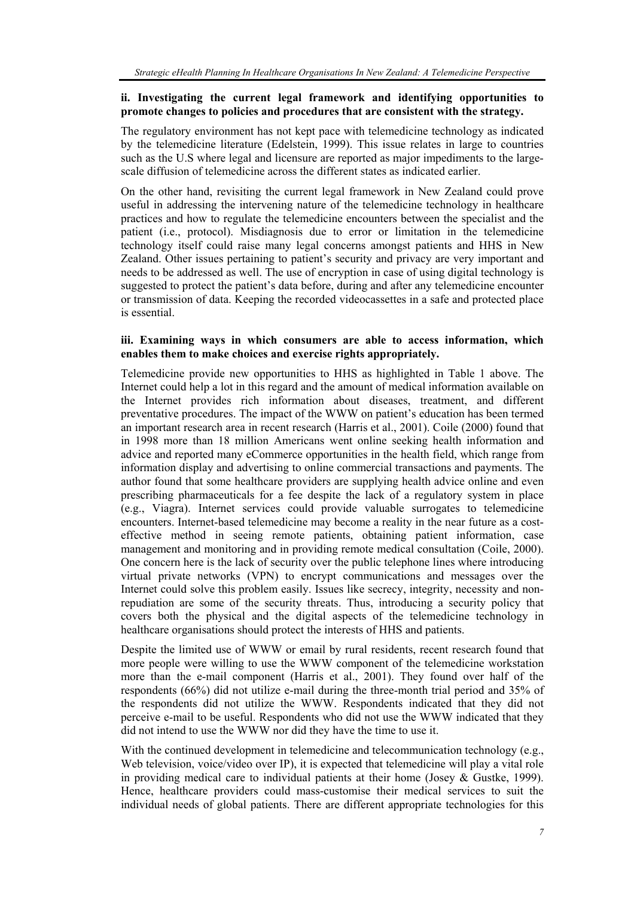#### **ii. Investigating the current legal framework and identifying opportunities to promote changes to policies and procedures that are consistent with the strategy.**

The regulatory environment has not kept pace with telemedicine technology as indicated by the telemedicine literature (Edelstein, 1999). This issue relates in large to countries such as the U.S where legal and licensure are reported as major impediments to the largescale diffusion of telemedicine across the different states as indicated earlier.

On the other hand, revisiting the current legal framework in New Zealand could prove useful in addressing the intervening nature of the telemedicine technology in healthcare practices and how to regulate the telemedicine encounters between the specialist and the patient (i.e., protocol). Misdiagnosis due to error or limitation in the telemedicine technology itself could raise many legal concerns amongst patients and HHS in New Zealand. Other issues pertaining to patient's security and privacy are very important and needs to be addressed as well. The use of encryption in case of using digital technology is suggested to protect the patient's data before, during and after any telemedicine encounter or transmission of data. Keeping the recorded videocassettes in a safe and protected place is essential.

#### **iii. Examining ways in which consumers are able to access information, which enables them to make choices and exercise rights appropriately.**

Telemedicine provide new opportunities to HHS as highlighted in Table 1 above. The Internet could help a lot in this regard and the amount of medical information available on the Internet provides rich information about diseases, treatment, and different preventative procedures. The impact of the WWW on patient's education has been termed an important research area in recent research (Harris et al., 2001). Coile (2000) found that in 1998 more than 18 million Americans went online seeking health information and advice and reported many eCommerce opportunities in the health field, which range from information display and advertising to online commercial transactions and payments. The author found that some healthcare providers are supplying health advice online and even prescribing pharmaceuticals for a fee despite the lack of a regulatory system in place (e.g., Viagra). Internet services could provide valuable surrogates to telemedicine encounters. Internet-based telemedicine may become a reality in the near future as a costeffective method in seeing remote patients, obtaining patient information, case management and monitoring and in providing remote medical consultation (Coile, 2000). One concern here is the lack of security over the public telephone lines where introducing virtual private networks (VPN) to encrypt communications and messages over the Internet could solve this problem easily. Issues like secrecy, integrity, necessity and nonrepudiation are some of the security threats. Thus, introducing a security policy that covers both the physical and the digital aspects of the telemedicine technology in healthcare organisations should protect the interests of HHS and patients.

Despite the limited use of WWW or email by rural residents, recent research found that more people were willing to use the WWW component of the telemedicine workstation more than the e-mail component (Harris et al., 2001). They found over half of the respondents (66%) did not utilize e-mail during the three-month trial period and 35% of the respondents did not utilize the WWW. Respondents indicated that they did not perceive e-mail to be useful. Respondents who did not use the WWW indicated that they did not intend to use the WWW nor did they have the time to use it.

With the continued development in telemedicine and telecommunication technology (e.g., Web television, voice/video over IP), it is expected that telemedicine will play a vital role in providing medical care to individual patients at their home (Josey  $\&$  Gustke, 1999). Hence, healthcare providers could mass-customise their medical services to suit the individual needs of global patients. There are different appropriate technologies for this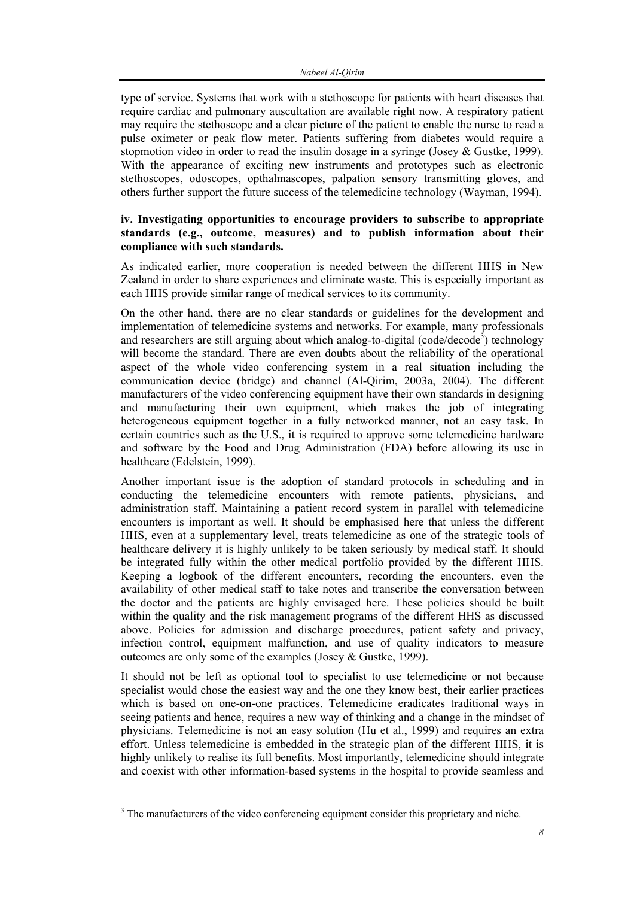type of service. Systems that work with a stethoscope for patients with heart diseases that require cardiac and pulmonary auscultation are available right now. A respiratory patient may require the stethoscope and a clear picture of the patient to enable the nurse to read a pulse oximeter or peak flow meter. Patients suffering from diabetes would require a stopmotion video in order to read the insulin dosage in a syringe (Josey & Gustke, 1999). With the appearance of exciting new instruments and prototypes such as electronic stethoscopes, odoscopes, opthalmascopes, palpation sensory transmitting gloves, and others further support the future success of the telemedicine technology (Wayman, 1994).

#### **iv. Investigating opportunities to encourage providers to subscribe to appropriate standards (e.g., outcome, measures) and to publish information about their compliance with such standards.**

As indicated earlier, more cooperation is needed between the different HHS in New Zealand in order to share experiences and eliminate waste. This is especially important as each HHS provide similar range of medical services to its community.

On the other hand, there are no clear standards or guidelines for the development and implementation of telemedicine systems and networks. For example, many professionals and researchers are still arguing about which analog-to-digital  $(code/decode^3)$  technology will become the standard. There are even doubts about the reliability of the operational aspect of the whole video conferencing system in a real situation including the communication device (bridge) and channel (Al-Qirim, 2003a, 2004). The different manufacturers of the video conferencing equipment have their own standards in designing and manufacturing their own equipment, which makes the job of integrating heterogeneous equipment together in a fully networked manner, not an easy task. In certain countries such as the U.S., it is required to approve some telemedicine hardware and software by the Food and Drug Administration (FDA) before allowing its use in healthcare (Edelstein, 1999).

Another important issue is the adoption of standard protocols in scheduling and in conducting the telemedicine encounters with remote patients, physicians, and administration staff. Maintaining a patient record system in parallel with telemedicine encounters is important as well. It should be emphasised here that unless the different HHS, even at a supplementary level, treats telemedicine as one of the strategic tools of healthcare delivery it is highly unlikely to be taken seriously by medical staff. It should be integrated fully within the other medical portfolio provided by the different HHS. Keeping a logbook of the different encounters, recording the encounters, even the availability of other medical staff to take notes and transcribe the conversation between the doctor and the patients are highly envisaged here. These policies should be built within the quality and the risk management programs of the different HHS as discussed above. Policies for admission and discharge procedures, patient safety and privacy, infection control, equipment malfunction, and use of quality indicators to measure outcomes are only some of the examples (Josey & Gustke, 1999).

It should not be left as optional tool to specialist to use telemedicine or not because specialist would chose the easiest way and the one they know best, their earlier practices which is based on one-on-one practices. Telemedicine eradicates traditional ways in seeing patients and hence, requires a new way of thinking and a change in the mindset of physicians. Telemedicine is not an easy solution (Hu et al., 1999) and requires an extra effort. Unless telemedicine is embedded in the strategic plan of the different HHS, it is highly unlikely to realise its full benefits. Most importantly, telemedicine should integrate and coexist with other information-based systems in the hospital to provide seamless and

l

 $3$  The manufacturers of the video conferencing equipment consider this proprietary and niche.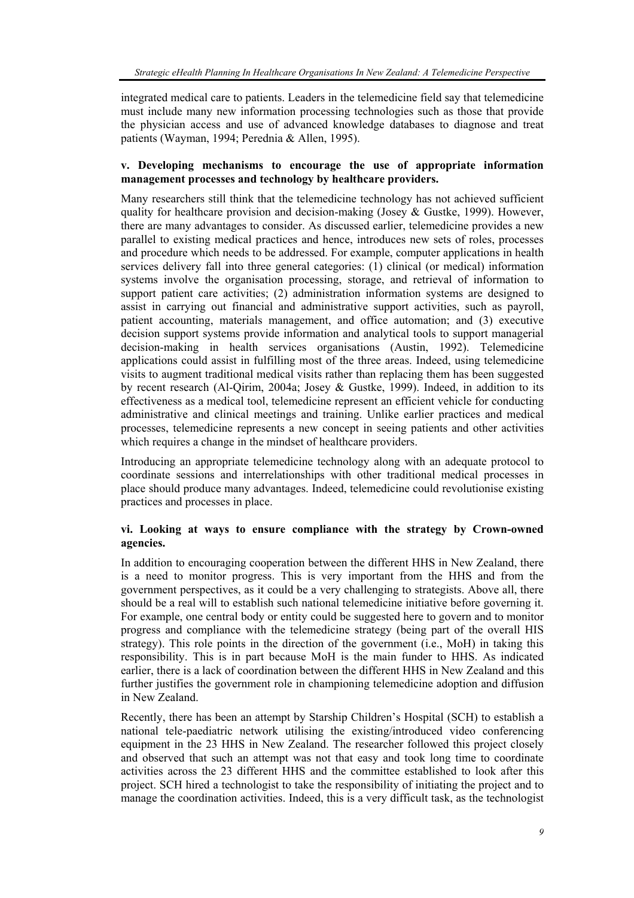integrated medical care to patients. Leaders in the telemedicine field say that telemedicine must include many new information processing technologies such as those that provide the physician access and use of advanced knowledge databases to diagnose and treat patients (Wayman, 1994; Perednia & Allen, 1995).

#### **v. Developing mechanisms to encourage the use of appropriate information management processes and technology by healthcare providers.**

Many researchers still think that the telemedicine technology has not achieved sufficient quality for healthcare provision and decision-making (Josey  $\&$  Gustke, 1999). However, there are many advantages to consider. As discussed earlier, telemedicine provides a new parallel to existing medical practices and hence, introduces new sets of roles, processes and procedure which needs to be addressed. For example, computer applications in health services delivery fall into three general categories: (1) clinical (or medical) information systems involve the organisation processing, storage, and retrieval of information to support patient care activities; (2) administration information systems are designed to assist in carrying out financial and administrative support activities, such as payroll, patient accounting, materials management, and office automation; and (3) executive decision support systems provide information and analytical tools to support managerial decision-making in health services organisations (Austin, 1992). Telemedicine applications could assist in fulfilling most of the three areas. Indeed, using telemedicine visits to augment traditional medical visits rather than replacing them has been suggested by recent research (Al-Qirim, 2004a; Josey & Gustke, 1999). Indeed, in addition to its effectiveness as a medical tool, telemedicine represent an efficient vehicle for conducting administrative and clinical meetings and training. Unlike earlier practices and medical processes, telemedicine represents a new concept in seeing patients and other activities which requires a change in the mindset of healthcare providers.

Introducing an appropriate telemedicine technology along with an adequate protocol to coordinate sessions and interrelationships with other traditional medical processes in place should produce many advantages. Indeed, telemedicine could revolutionise existing practices and processes in place.

#### **vi. Looking at ways to ensure compliance with the strategy by Crown-owned agencies.**

In addition to encouraging cooperation between the different HHS in New Zealand, there is a need to monitor progress. This is very important from the HHS and from the government perspectives, as it could be a very challenging to strategists. Above all, there should be a real will to establish such national telemedicine initiative before governing it. For example, one central body or entity could be suggested here to govern and to monitor progress and compliance with the telemedicine strategy (being part of the overall HIS strategy). This role points in the direction of the government (i.e., MoH) in taking this responsibility. This is in part because MoH is the main funder to HHS. As indicated earlier, there is a lack of coordination between the different HHS in New Zealand and this further justifies the government role in championing telemedicine adoption and diffusion in New Zealand.

Recently, there has been an attempt by Starship Children's Hospital (SCH) to establish a national tele-paediatric network utilising the existing/introduced video conferencing equipment in the 23 HHS in New Zealand. The researcher followed this project closely and observed that such an attempt was not that easy and took long time to coordinate activities across the 23 different HHS and the committee established to look after this project. SCH hired a technologist to take the responsibility of initiating the project and to manage the coordination activities. Indeed, this is a very difficult task, as the technologist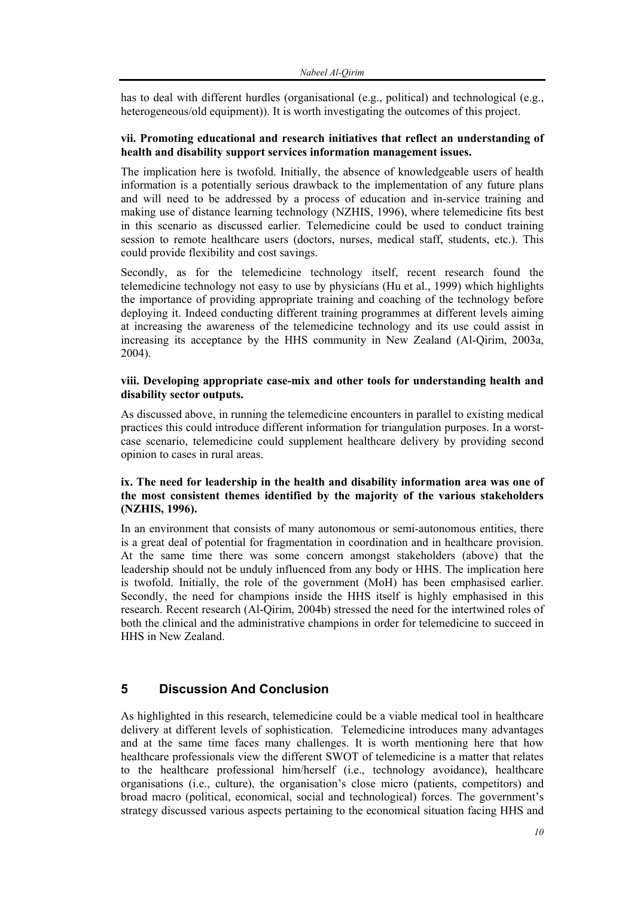has to deal with different hurdles (organisational (e.g., political) and technological (e.g., heterogeneous/old equipment)). It is worth investigating the outcomes of this project.

#### **vii. Promoting educational and research initiatives that reflect an understanding of health and disability support services information management issues.**

The implication here is twofold. Initially, the absence of knowledgeable users of health information is a potentially serious drawback to the implementation of any future plans and will need to be addressed by a process of education and in-service training and making use of distance learning technology (NZHIS, 1996), where telemedicine fits best in this scenario as discussed earlier. Telemedicine could be used to conduct training session to remote healthcare users (doctors, nurses, medical staff, students, etc.). This could provide flexibility and cost savings.

Secondly, as for the telemedicine technology itself, recent research found the telemedicine technology not easy to use by physicians (Hu et al., 1999) which highlights the importance of providing appropriate training and coaching of the technology before deploying it. Indeed conducting different training programmes at different levels aiming at increasing the awareness of the telemedicine technology and its use could assist in increasing its acceptance by the HHS community in New Zealand (Al-Qirim, 2003a, 2004).

#### **viii. Developing appropriate case-mix and other tools for understanding health and disability sector outputs.**

As discussed above, in running the telemedicine encounters in parallel to existing medical practices this could introduce different information for triangulation purposes. In a worstcase scenario, telemedicine could supplement healthcare delivery by providing second opinion to cases in rural areas.

#### **ix. The need for leadership in the health and disability information area was one of the most consistent themes identified by the majority of the various stakeholders (NZHIS, 1996).**

In an environment that consists of many autonomous or semi-autonomous entities, there is a great deal of potential for fragmentation in coordination and in healthcare provision. At the same time there was some concern amongst stakeholders (above) that the leadership should not be unduly influenced from any body or HHS. The implication here is twofold. Initially, the role of the government (MoH) has been emphasised earlier. Secondly, the need for champions inside the HHS itself is highly emphasised in this research. Recent research (Al-Qirim, 2004b) stressed the need for the intertwined roles of both the clinical and the administrative champions in order for telemedicine to succeed in HHS in New Zealand.

## **5 Discussion And Conclusion**

As highlighted in this research, telemedicine could be a viable medical tool in healthcare delivery at different levels of sophistication. Telemedicine introduces many advantages and at the same time faces many challenges. It is worth mentioning here that how healthcare professionals view the different SWOT of telemedicine is a matter that relates to the healthcare professional him/herself (i.e., technology avoidance), healthcare organisations (i.e., culture), the organisation's close micro (patients, competitors) and broad macro (political, economical, social and technological) forces. The government's strategy discussed various aspects pertaining to the economical situation facing HHS and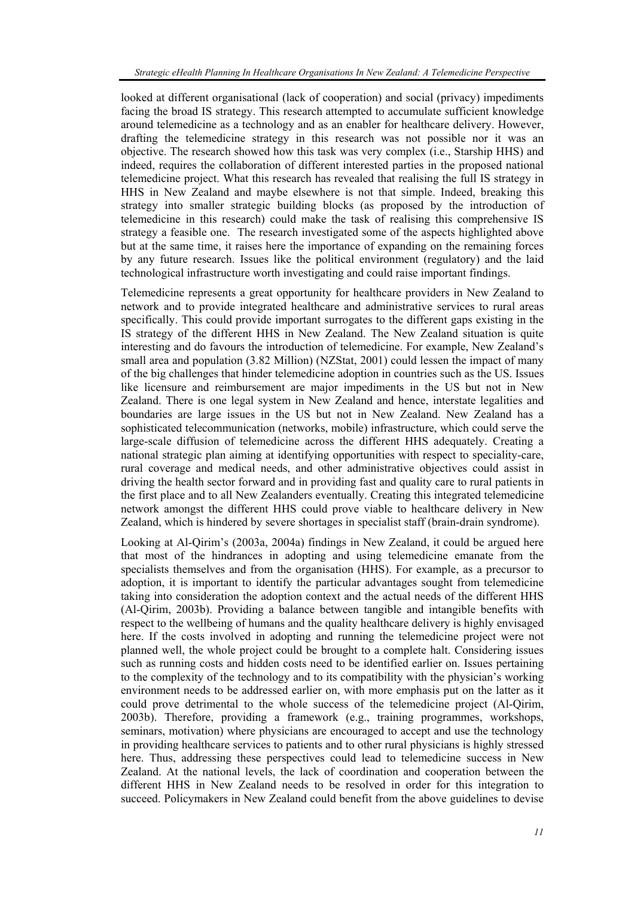looked at different organisational (lack of cooperation) and social (privacy) impediments facing the broad IS strategy. This research attempted to accumulate sufficient knowledge around telemedicine as a technology and as an enabler for healthcare delivery. However, drafting the telemedicine strategy in this research was not possible nor it was an objective. The research showed how this task was very complex (i.e., Starship HHS) and indeed, requires the collaboration of different interested parties in the proposed national telemedicine project. What this research has revealed that realising the full IS strategy in HHS in New Zealand and maybe elsewhere is not that simple. Indeed, breaking this strategy into smaller strategic building blocks (as proposed by the introduction of telemedicine in this research) could make the task of realising this comprehensive IS strategy a feasible one. The research investigated some of the aspects highlighted above but at the same time, it raises here the importance of expanding on the remaining forces by any future research. Issues like the political environment (regulatory) and the laid technological infrastructure worth investigating and could raise important findings.

Telemedicine represents a great opportunity for healthcare providers in New Zealand to network and to provide integrated healthcare and administrative services to rural areas specifically. This could provide important surrogates to the different gaps existing in the IS strategy of the different HHS in New Zealand. The New Zealand situation is quite interesting and do favours the introduction of telemedicine. For example, New Zealand's small area and population (3.82 Million) (NZStat, 2001) could lessen the impact of many of the big challenges that hinder telemedicine adoption in countries such as the US. Issues like licensure and reimbursement are major impediments in the US but not in New Zealand. There is one legal system in New Zealand and hence, interstate legalities and boundaries are large issues in the US but not in New Zealand. New Zealand has a sophisticated telecommunication (networks, mobile) infrastructure, which could serve the large-scale diffusion of telemedicine across the different HHS adequately. Creating a national strategic plan aiming at identifying opportunities with respect to speciality-care, rural coverage and medical needs, and other administrative objectives could assist in driving the health sector forward and in providing fast and quality care to rural patients in the first place and to all New Zealanders eventually. Creating this integrated telemedicine network amongst the different HHS could prove viable to healthcare delivery in New Zealand, which is hindered by severe shortages in specialist staff (brain-drain syndrome).

Looking at Al-Qirim's (2003a, 2004a) findings in New Zealand, it could be argued here that most of the hindrances in adopting and using telemedicine emanate from the specialists themselves and from the organisation (HHS). For example, as a precursor to adoption, it is important to identify the particular advantages sought from telemedicine taking into consideration the adoption context and the actual needs of the different HHS (Al-Qirim, 2003b). Providing a balance between tangible and intangible benefits with respect to the wellbeing of humans and the quality healthcare delivery is highly envisaged here. If the costs involved in adopting and running the telemedicine project were not planned well, the whole project could be brought to a complete halt. Considering issues such as running costs and hidden costs need to be identified earlier on. Issues pertaining to the complexity of the technology and to its compatibility with the physician's working environment needs to be addressed earlier on, with more emphasis put on the latter as it could prove detrimental to the whole success of the telemedicine project (Al-Qirim, 2003b). Therefore, providing a framework (e.g., training programmes, workshops, seminars, motivation) where physicians are encouraged to accept and use the technology in providing healthcare services to patients and to other rural physicians is highly stressed here. Thus, addressing these perspectives could lead to telemedicine success in New Zealand. At the national levels, the lack of coordination and cooperation between the different HHS in New Zealand needs to be resolved in order for this integration to succeed. Policymakers in New Zealand could benefit from the above guidelines to devise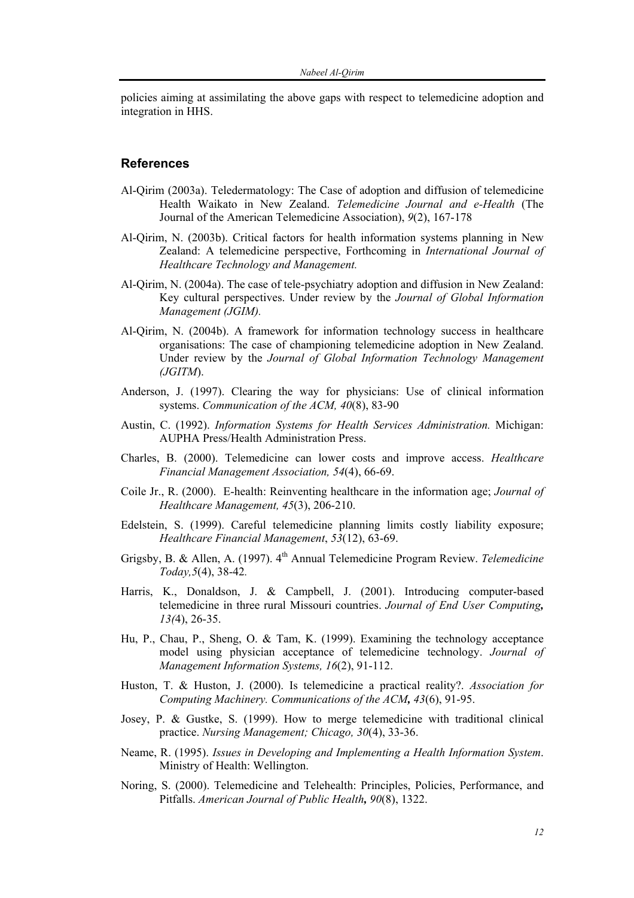policies aiming at assimilating the above gaps with respect to telemedicine adoption and integration in HHS.

#### **References**

- Al-Qirim (2003a). Teledermatology: The Case of adoption and diffusion of telemedicine Health Waikato in New Zealand. *Telemedicine Journal and e-Health* (The Journal of the American Telemedicine Association), *9*(2), 167-178
- Al-Qirim, N. (2003b). Critical factors for health information systems planning in New Zealand: A telemedicine perspective, Forthcoming in *International Journal of Healthcare Technology and Management.*
- Al-Qirim, N. (2004a). The case of tele-psychiatry adoption and diffusion in New Zealand: Key cultural perspectives. Under review by the *Journal of Global Information Management (JGIM).*
- Al-Qirim, N. (2004b). A framework for information technology success in healthcare organisations: The case of championing telemedicine adoption in New Zealand. Under review by the *Journal of Global Information Technology Management (JGITM*).
- Anderson, J. (1997). Clearing the way for physicians: Use of clinical information systems. *Communication of the ACM, 40*(8), 83-90
- Austin, C. (1992). *Information Systems for Health Services Administration.* Michigan: AUPHA Press/Health Administration Press.
- Charles, B. (2000). Telemedicine can lower costs and improve access. *Healthcare Financial Management Association, 54*(4), 66-69.
- Coile Jr., R. (2000). E-health: Reinventing healthcare in the information age; *Journal of Healthcare Management, 45*(3), 206-210.
- Edelstein, S. (1999). Careful telemedicine planning limits costly liability exposure; *Healthcare Financial Management*, *53*(12), 63-69.
- Grigsby, B. & Allen, A. (1997). 4th Annual Telemedicine Program Review. *Telemedicine Today,5*(4), 38-42*.*
- Harris, K., Donaldson, J. & Campbell, J. (2001). Introducing computer-based telemedicine in three rural Missouri countries. *Journal of End User Computing, 13(*4), 26-35.
- Hu, P., Chau, P., Sheng, O. & Tam, K. (1999). Examining the technology acceptance model using physician acceptance of telemedicine technology. *Journal of Management Information Systems, 16*(2), 91-112.
- Huston, T. & Huston, J. (2000). Is telemedicine a practical reality?. *Association for Computing Machinery. Communications of the ACM, 43*(6), 91-95.
- Josey, P. & Gustke, S. (1999). How to merge telemedicine with traditional clinical practice. *Nursing Management; Chicago, 30*(4), 33-36.
- Neame, R. (1995). *Issues in Developing and Implementing a Health Information System*. Ministry of Health: Wellington.
- Noring, S. (2000). Telemedicine and Telehealth: Principles, Policies, Performance, and Pitfalls. *American Journal of Public Health, 90*(8), 1322.